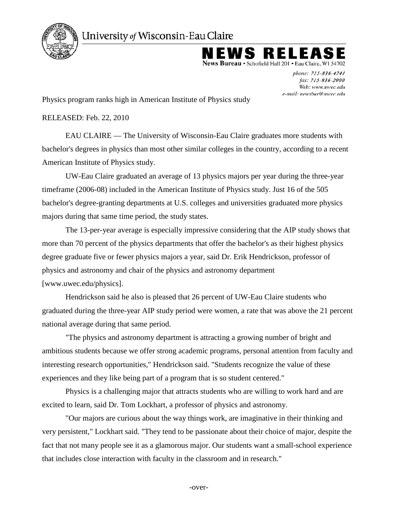

University of Wisconsin-Eau Claire

NEWS RELEZ

News Bureau • Schofield Hall 201 • Eau Claire, WI 54702

phone: 715-836-4741 fax: 715-836-2900 Web: www.uwec.edu e-mail: newsbur@uwec.edu

Physics program ranks high in American Institute of Physics study

RELEASED: Feb. 22, 2010

EAU CLAIRE — The University of Wisconsin-Eau Claire graduates more students with bachelor's degrees in physics than most other similar colleges in the country, according to a recent American Institute of Physics study.

UW-Eau Claire graduated an average of 13 physics majors per year during the three-year timeframe (2006-08) included in the American Institute of Physics study. Just 16 of the 505 bachelor's degree-granting departments at U.S. colleges and universities graduated more physics majors during that same time period, the study states.

The 13-per-year average is especially impressive considering that the AIP study shows that more than 70 percent of the physics departments that offer the bachelor's as their highest physics degree graduate five or fewer physics majors a year, said Dr. Erik Hendrickson, professor of physics and astronomy and chair of the physics and astronomy department [www.uwec.edu/physics].

Hendrickson said he also is pleased that 26 percent of UW-Eau Claire students who graduated during the three-year AIP study period were women, a rate that was above the 21 percent national average during that same period.

"The physics and astronomy department is attracting a growing number of bright and ambitious students because we offer strong academic programs, personal attention from faculty and interesting research opportunities," Hendrickson said. "Students recognize the value of these experiences and they like being part of a program that is so student centered."

Physics is a challenging major that attracts students who are willing to work hard and are excited to learn, said Dr. Tom Lockhart, a professor of physics and astronomy.

"Our majors are curious about the way things work, are imaginative in their thinking and very persistent," Lockhart said. "They tend to be passionate about their choice of major, despite the fact that not many people see it as a glamorous major. Our students want a small-school experience that includes close interaction with faculty in the classroom and in research."